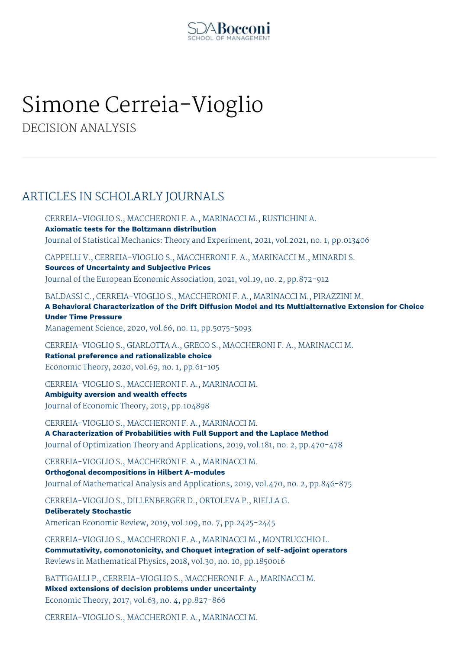

## Simone Cerreia-Vioglio

DECISION ANALYSIS

## ARTICLES IN SCHOLARLY JOURNALS

CERREIA-VIOGLIO S., MACCHERONI F. A., MARINACCI M., RUSTICHINI A. **Axiomatic tests for the Boltzmann distribution** Journal of Statistical Mechanics: Theory and Experiment, 2021, vol.2021, no. 1, pp.013406

CAPPELLI V., CERREIA-VIOGLIO S., MACCHERONI F. A., MARINACCI M., MINARDI S.

**Sources of Uncertainty and Subjective Prices** Journal of the European Economic Association, 2021, vol.19, no. 2, pp.872-912

BALDASSI C., CERREIA-VIOGLIO S., MACCHERONI F. A., MARINACCI M., PIRAZZINI M. **A Behavioral Characterization of the Drift Diffusion Model and Its Multialternative Extension for Choice Under Time Pressure**

Management Science, 2020, vol.66, no. 11, pp.5075-5093

CERREIA-VIOGLIO S., GIARLOTTA A., GRECO S., MACCHERONI F. A., MARINACCI M. **Rational preference and rationalizable choice** Economic Theory, 2020, vol.69, no. 1, pp.61-105

CERREIA-VIOGLIO S., MACCHERONI F. A., MARINACCI M. **Ambiguity aversion and wealth effects** Journal of Economic Theory, 2019, pp.104898

CERREIA-VIOGLIO S., MACCHERONI F. A., MARINACCI M. **A Characterization of Probabilities with Full Support and the Laplace Method** Journal of Optimization Theory and Applications, 2019, vol.181, no. 2, pp.470-478

CERREIA-VIOGLIO S., MACCHERONI F. A., MARINACCI M. **Orthogonal decompositions in Hilbert A-modules** Journal of Mathematical Analysis and Applications, 2019, vol.470, no. 2, pp.846-875

CERREIA-VIOGLIO S., DILLENBERGER D., ORTOLEVA P., RIELLA G.

**Deliberately Stochastic** American Economic Review, 2019, vol.109, no. 7, pp.2425-2445

CERREIA-VIOGLIO S., MACCHERONI F. A., MARINACCI M., MONTRUCCHIO L. **Commutativity, comonotonicity, and Choquet integration of self-adjoint operators** Reviews in Mathematical Physics, 2018, vol.30, no. 10, pp.1850016

BATTIGALLI P., CERREIA-VIOGLIO S., MACCHERONI F. A., MARINACCI M. **Mixed extensions of decision problems under uncertainty** Economic Theory, 2017, vol.63, no. 4, pp.827-866

CERREIA-VIOGLIO S., MACCHERONI F. A., MARINACCI M.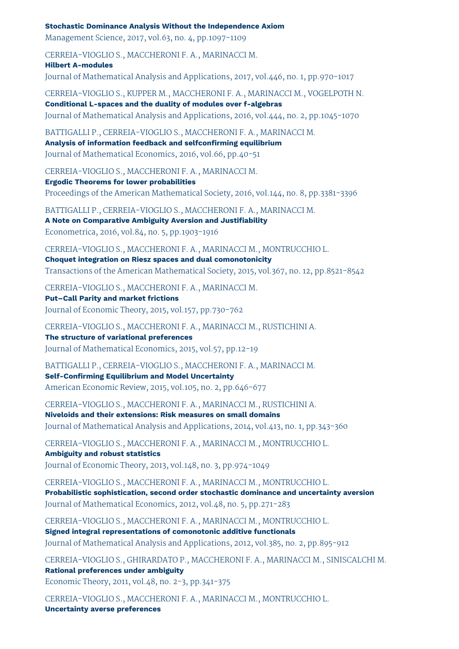**Stochastic Dominance Analysis Without the Independence Axiom**

Management Science, 2017, vol.63, no. 4, pp.1097-1109

CERREIA-VIOGLIO S., MACCHERONI F. A., MARINACCI M.

**Hilbert A-modules**

Journal of Mathematical Analysis and Applications, 2017, vol.446, no. 1, pp.970-1017

CERREIA-VIOGLIO S., KUPPER M., MACCHERONI F. A., MARINACCI M., VOGELPOTH N. **Conditional L-spaces and the duality of modules over f-algebras**

Journal of Mathematical Analysis and Applications, 2016, vol.444, no. 2, pp.1045-1070

BATTIGALLI P., CERREIA-VIOGLIO S., MACCHERONI F. A., MARINACCI M. **Analysis of information feedback and selfconfirming equilibrium** Journal of Mathematical Economics, 2016, vol.66, pp.40-51

CERREIA-VIOGLIO S., MACCHERONI F. A., MARINACCI M.

**Ergodic Theorems for lower probabilities** Proceedings of the American Mathematical Society, 2016, vol.144, no. 8, pp.3381-3396

BATTIGALLI P., CERREIA-VIOGLIO S., MACCHERONI F. A., MARINACCI M. **A Note on Comparative Ambiguity Aversion and Justifiability** Econometrica, 2016, vol.84, no. 5, pp.1903-1916

CERREIA-VIOGLIO S., MACCHERONI F. A., MARINACCI M., MONTRUCCHIO L. **Choquet integration on Riesz spaces and dual comonotonicity**

Transactions of the American Mathematical Society, 2015, vol.367, no. 12, pp.8521-8542

CERREIA-VIOGLIO S., MACCHERONI F. A., MARINACCI M.

**Put–Call Parity and market frictions** Journal of Economic Theory, 2015, vol.157, pp.730-762

CERREIA-VIOGLIO S., MACCHERONI F. A., MARINACCI M., RUSTICHINI A. **The structure of variational preferences** Journal of Mathematical Economics, 2015, vol.57, pp.12-19

BATTIGALLI P., CERREIA-VIOGLIO S., MACCHERONI F. A., MARINACCI M. **Self-Confirming Equilibrium and Model Uncertainty** American Economic Review, 2015, vol.105, no. 2, pp.646-677

CERREIA-VIOGLIO S., MACCHERONI F. A., MARINACCI M., RUSTICHINI A. **Niveloids and their extensions: Risk measures on small domains** Journal of Mathematical Analysis and Applications, 2014, vol.413, no. 1, pp.343-360

CERREIA-VIOGLIO S., MACCHERONI F. A., MARINACCI M., MONTRUCCHIO L. **Ambiguity and robust statistics** Journal of Economic Theory, 2013, vol.148, no. 3, pp.974-1049

CERREIA-VIOGLIO S., MACCHERONI F. A., MARINACCI M., MONTRUCCHIO L. **Probabilistic sophistication, second order stochastic dominance and uncertainty aversion** Journal of Mathematical Economics, 2012, vol.48, no. 5, pp.271-283

CERREIA-VIOGLIO S., MACCHERONI F. A., MARINACCI M., MONTRUCCHIO L. **Signed integral representations of comonotonic additive functionals** Journal of Mathematical Analysis and Applications, 2012, vol.385, no. 2, pp.895-912

CERREIA-VIOGLIO S., GHIRARDATO P., MACCHERONI F. A., MARINACCI M., SINISCALCHI M. **Rational preferences under ambiguity** Economic Theory, 2011, vol.48, no. 2-3, pp.341-375

CERREIA-VIOGLIO S., MACCHERONI F. A., MARINACCI M., MONTRUCCHIO L. **Uncertainty averse preferences**